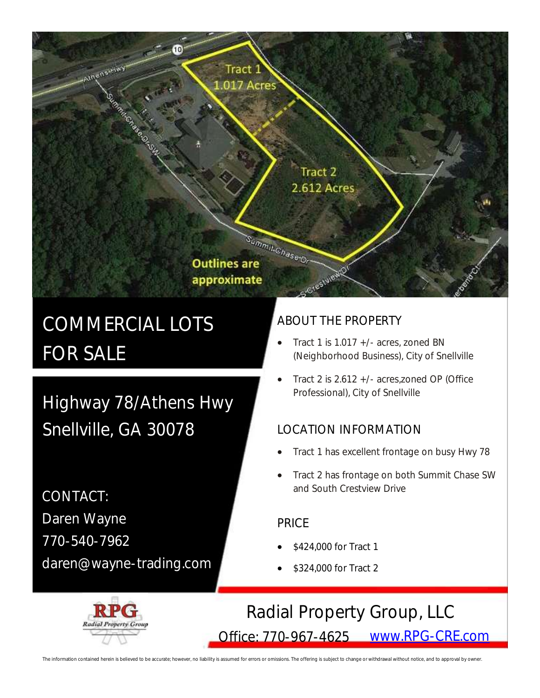# approximate

**Outlines are** 

Tract 1 017 Acres

# COMMERCIAL LOTS FOR SALE

**Mn<sub>ens-Hwy</mark>**</sub>

Highway 78/Athens Hwy Snellville, GA 30078

CONTACT: Daren Wayne 770-540-7962 daren@wayne-trading.com

### ABOUT THE PROPERTY

Tract 2 2.612 Acres

Crestyled

Summit Chase tor

- Tract 1 is 1.017 +/- acres, zoned BN (Neighborhood Business), City of Snellville
- Tract 2 is 2.612 +/- acres,zoned OP (Office Professional), City of Snellville

### LOCATION INFORMATION

- Tract 1 has excellent frontage on busy Hwy 78
- Tract 2 has frontage on both Summit Chase SW and South Crestview Drive

#### PRICE

- \$424,000 for Tract 1
- \$324,000 for Tract 2

# Radial Property Group, LLC

Office: 770-967-4625 [www.RPG-CRE.com](http://www.RPG-CRE.com)